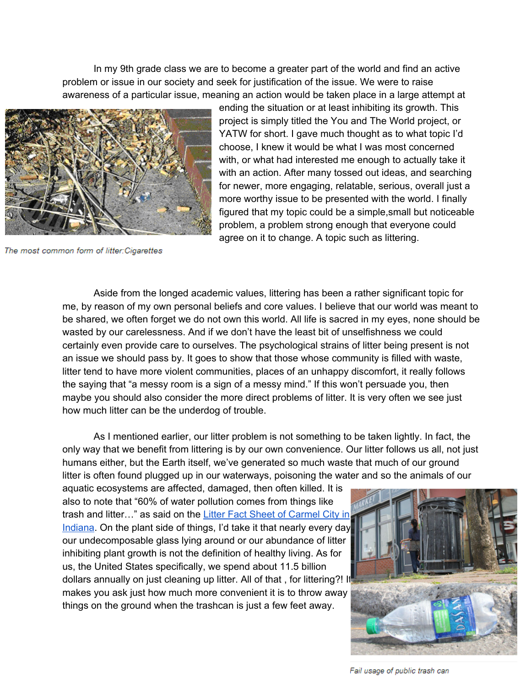In my 9th grade class we are to become a greater part of the world and find an active problem or issue in our society and seek for justification of the issue. We were to raise awareness of a particular issue, meaning an action would be taken place in a large attempt at



The most common form of litter: Cigarettes

ending the situation or at least inhibiting its growth. This project is simply titled the You and The World project, or YATW for short. I gave much thought as to what topic I'd choose, I knew it would be what I was most concerned with, or what had interested me enough to actually take it with an action. After many tossed out ideas, and searching for newer, more engaging, relatable, serious, overall just a more worthy issue to be presented with the world. I finally figured that my topic could be a simple,small but noticeable problem, a problem strong enough that everyone could agree on it to change. A topic such as littering.

Aside from the longed academic values, littering has been a rather significant topic for me, by reason of my own personal beliefs and core values. I believe that our world was meant to be shared, we often forget we do not own this world. All life is sacred in my eyes, none should be wasted by our carelessness. And if we don't have the least bit of unselfishness we could certainly even provide care to ourselves. The psychological strains of litter being present is not an issue we should pass by. It goes to show that those whose community is filled with waste, litter tend to have more violent communities, places of an unhappy discomfort, it really follows the saying that "a messy room is a sign of a messy mind." If this won't persuade you, then maybe you should also consider the more direct problems of litter. It is very often we see just how much litter can be the underdog of trouble.

As I mentioned earlier, our litter problem is not something to be taken lightly. In fact, the only way that we benefit from littering is by our own convenience. Our litter follows us all, not just humans either, but the Earth itself, we've generated so much waste that much of our ground litter is often found plugged up in our waterways, poisoning the water and so the animals of our

aquatic ecosystems are affected, damaged, then often killed. It is also to note that "60% of water pollution comes from things like trash and litter…" as said on the Litter Fact Sheet of [Carmel](http://www.google.com/url?q=http%3A%2F%2Fwww.carmel.in.gov%2Fmodules%2Fshowdocument.aspx%3Fdocumentid%3D182&sa=D&sntz=1&usg=AFQjCNFexdWVK4sXNosTy8Liy4m_JsTO1g) City in [Indiana.](http://www.google.com/url?q=http%3A%2F%2Fwww.carmel.in.gov%2Fmodules%2Fshowdocument.aspx%3Fdocumentid%3D182&sa=D&sntz=1&usg=AFQjCNFexdWVK4sXNosTy8Liy4m_JsTO1g) On the plant side of things, I'd take it that nearly every day our undecomposable glass lying around or our abundance of litter inhibiting plant growth is not the definition of healthy living. As for us, the United States specifically, we spend about 11.5 billion dollars annually on just cleaning up litter. All of that , for littering?! It makes you ask just how much more convenient it is to throw away things on the ground when the trashcan is just a few feet away.



Fail usage of public trash can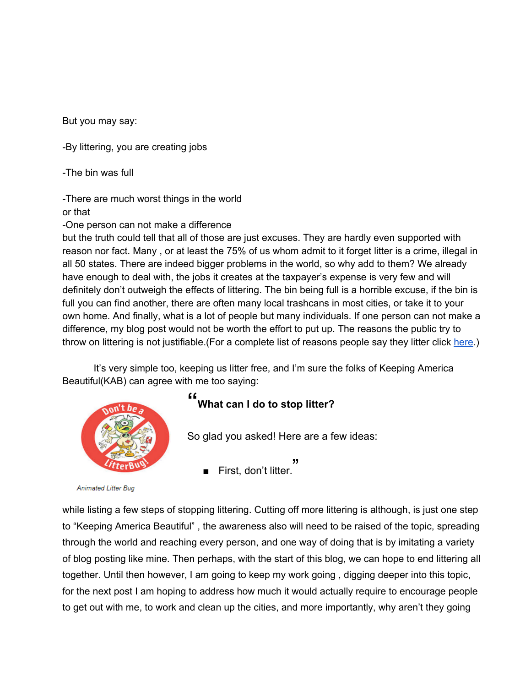But you may say:

By littering, you are creating jobs

-The bin was full

There are much worst things in the world or that

One person can not make a difference

but the truth could tell that all of those are just excuses. They are hardly even supported with reason nor fact. Many , or at least the 75% of us whom admit to it forget litter is a crime, illegal in all 50 states. There are indeed bigger problems in the world, so why add to them? We already have enough to deal with, the jobs it creates at the taxpayer's expense is very few and will definitely don't outweigh the effects of littering. The bin being full is a horrible excuse, if the bin is full you can find another, there are often many local trashcans in most cities, or take it to your own home. And finally, what is a lot of people but many individuals. If one person can not make a difference, my blog post would not be worth the effort to put up. The reasons the public try to throw on littering is not justifiable. (For a complete list of reasons people say they litter click [here.](http://www.google.com/url?q=http%3A%2F%2Fwww.falkirk.gov.uk%2Fservices%2Fcorporate_neighbourhood%2Festates_management%2Flitterzone%2Flitter_strategy%2Flitter_facts%2Fwhy_do_people_litter.aspx&sa=D&sntz=1&usg=AFQjCNHIF5QQvNPKu6h0plvNMVZnBO9MTA))

It's very simple too, keeping us litter free, and I'm sure the folks of Keeping America Beautiful(KAB) can agree with me too saying:



## **" What can I do to stop litter?**

So glad you asked! Here are a few ideas:

יי<br>.First, don't litter

**Animated Litter Bug** 

while listing a few steps of stopping littering. Cutting off more littering is although, is just one step to "Keeping America Beautiful" , the awareness also will need to be raised of the topic, spreading through the world and reaching every person, and one way of doing that is by imitating a variety of blog posting like mine. Then perhaps, with the start of this blog, we can hope to end littering all together. Until then however, I am going to keep my work going , digging deeper into this topic, for the next post I am hoping to address how much it would actually require to encourage people to get out with me, to work and clean up the cities, and more importantly, why aren't they going